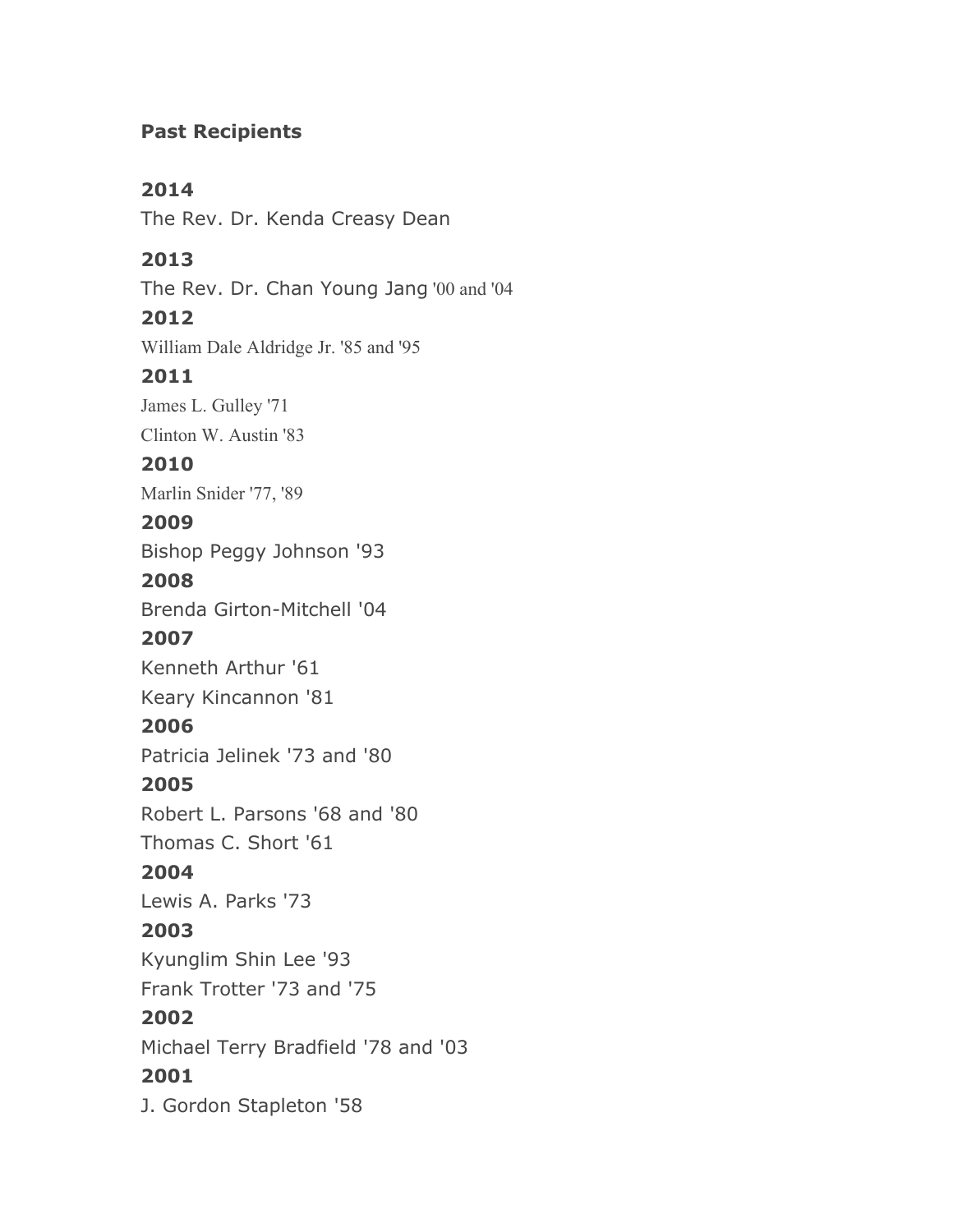# **Past Recipients**

# **2014**

The Rev. Dr. Kenda Creasy Dean

# **2013**

The Rev. Dr. Chan Young Jang '00 and '04

# **2012**

William Dale Aldridge Jr. '85 and '95

#### **2011**

James L. Gulley '71

Clinton W. Austin '83

#### **2010**

Marlin Snider '77, '89

# **2009**

Bishop Peggy Johnson '93

#### **2008**

Brenda Girton-Mitchell '04

# **2007**

Kenneth Arthur '61

Keary Kincannon '81

# **2006**

Patricia Jelinek '73 and '80

# **2005**

Robert L. Parsons '68 and '80

Thomas C. Short '61

# **2004**

Lewis A. Parks '73

# **2003**

Kyunglim Shin Lee '93

Frank Trotter '73 and '75

# **2002**

Michael Terry Bradfield '78 and '03

# **2001**

J. Gordon Stapleton '58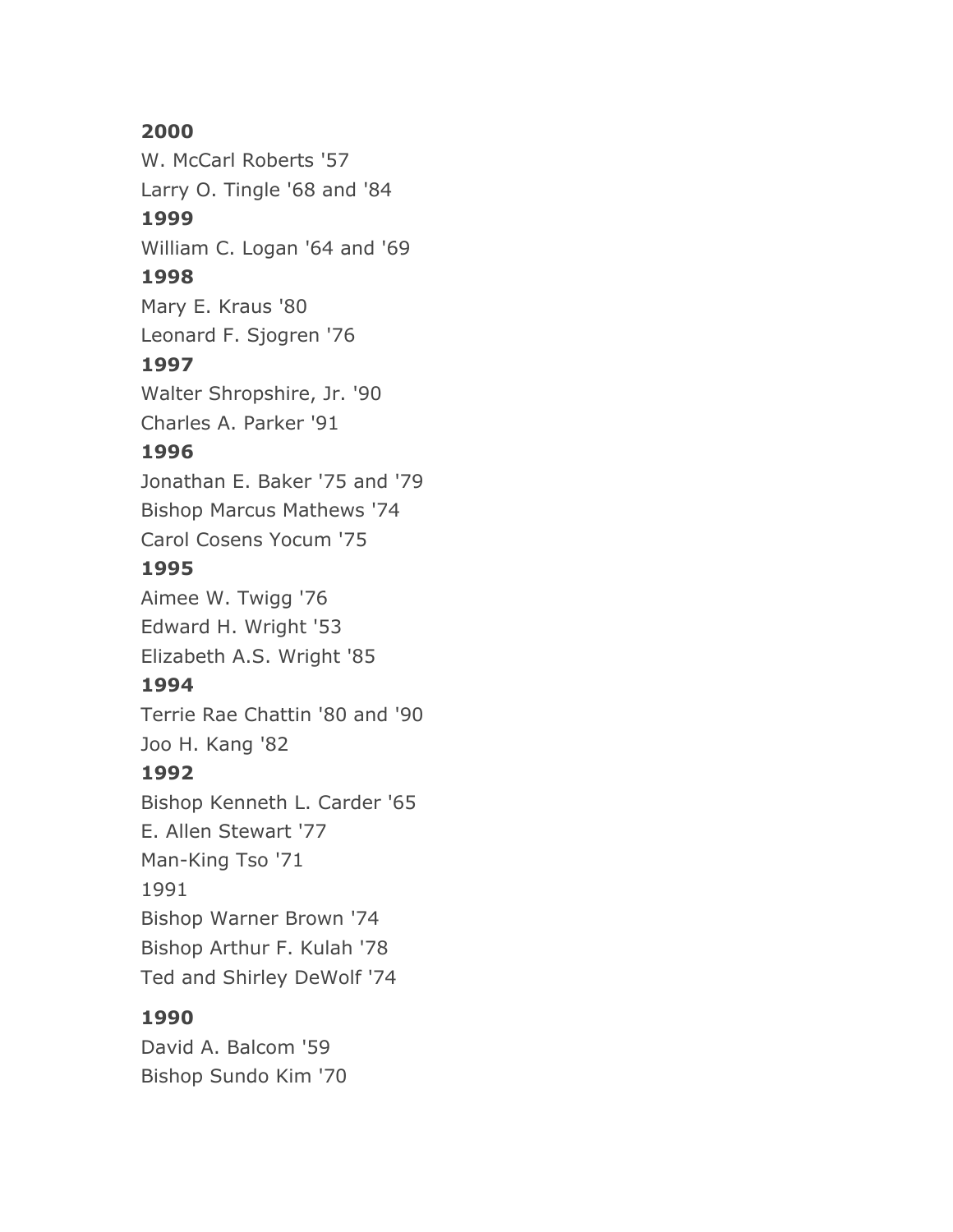# **2000**

W. McCarl Roberts '57 Larry O. Tingle '68 and '84 **1999** William C. Logan '64 and '69 **1998** Mary E. Kraus '80 Leonard F. Sjogren '76 **1997** Walter Shropshire, Jr. '90 Charles A. Parker '91 **1996** Jonathan E. Baker '75 and '79 Bishop Marcus Mathews '74 Carol Cosens Yocum '75 **1995** Aimee W. Twigg '76 Edward H. Wright '53 Elizabeth A.S. Wright '85 **1994** Terrie Rae Chattin '80 and '90 Joo H. Kang '82 **1992** Bishop Kenneth L. Carder '65 E. Allen Stewart '77 Man-King Tso '71 1991 Bishop Warner Brown '74 Bishop Arthur F. Kulah '78 Ted and Shirley DeWolf '74

#### **1990**

David A. Balcom '59 Bishop Sundo Kim '70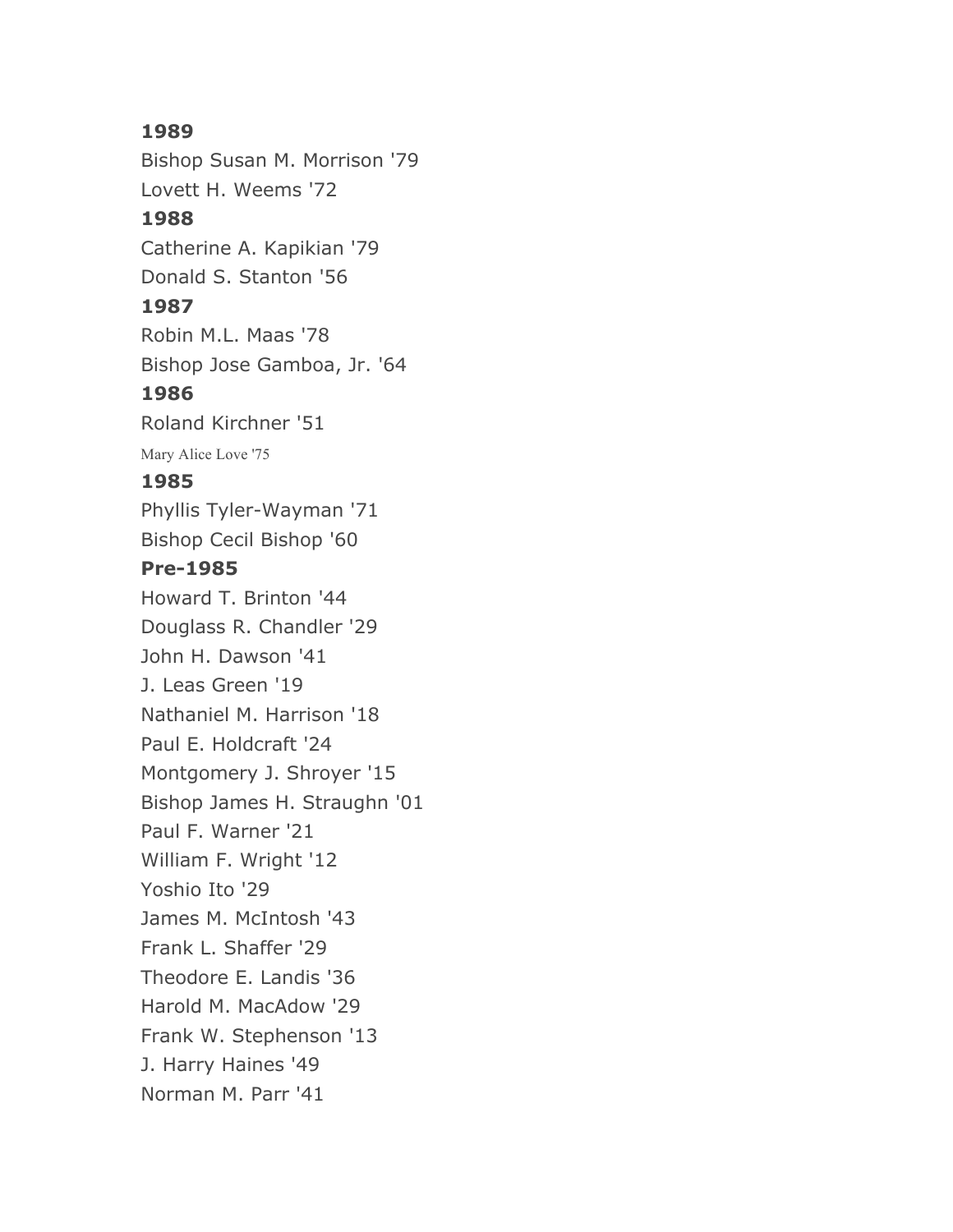#### **1989**

Bishop Susan M. Morrison '79 Lovett H. Weems '72 **1988** Catherine A. Kapikian '79

Donald S. Stanton '56

#### **1987**

Robin M.L. Maas '78 Bishop Jose Gamboa, Jr. '64

#### **1986**

Roland Kirchner '51

Mary Alice Love '75

#### **1985**

Phyllis Tyler-Wayman '71 Bishop Cecil Bishop '60

#### **Pre-1985**

Howard T. Brinton '44 Douglass R. Chandler '29 John H. Dawson '41 J. Leas Green '19 Nathaniel M. Harrison '18 Paul E. Holdcraft '24 Montgomery J. Shroyer '15 Bishop James H. Straughn '01 Paul F. Warner '21 William F. Wright '12 Yoshio Ito '29 James M. McIntosh '43 Frank L. Shaffer '29 Theodore E. Landis '36 Harold M. MacAdow '29 Frank W. Stephenson '13 J. Harry Haines '49 Norman M. Parr '41